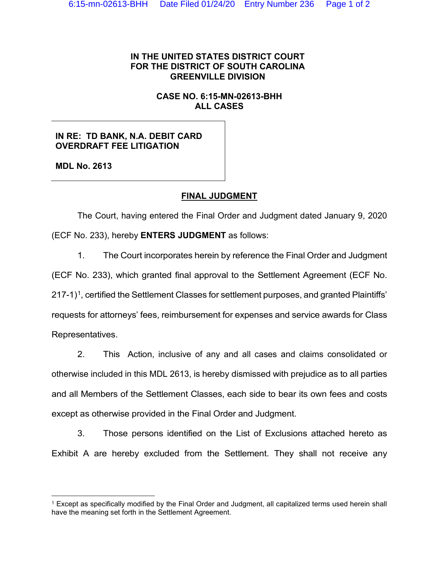#### **IN THE UNITED STATES DISTRICT COURT FOR THE DISTRICT OF SOUTH CAROLINA GREENVILLE DIVISION**

#### **CASE NO. 6:15-MN-02613-BHH ALL CASES**

## **IN RE: TD BANK, N.A. DEBIT CARD OVERDRAFT FEE LITIGATION**

**MDL No. 2613**

# **FINAL JUDGMENT**

The Court, having entered the Final Order and Judgment dated January 9, 2020 (ECF No. 233), hereby **ENTERS JUDGMENT** as follows:

1. The Court incorporates herein by reference the Final Order and Judgment

(ECF No. 233), which granted final approval to the Settlement Agreement (ECF No.

 $217-1$ <sup>1</sup>, certified the Settlement Classes for settlement purposes, and granted Plaintiffs'

requests for attorneys' fees, reimbursement for expenses and service awards for Class Representatives.

2. This Action, inclusive of any and all cases and claims consolidated or otherwise included in this MDL 2613, is hereby dismissed with prejudice as to all parties and all Members of the Settlement Classes, each side to bear its own fees and costs except as otherwise provided in the Final Order and Judgment.

3. Those persons identified on the List of Exclusions attached hereto as Exhibit A are hereby excluded from the Settlement. They shall not receive any

<span id="page-0-0"></span><sup>&</sup>lt;sup>1</sup> Except as specifically modified by the Final Order and Judgment, all capitalized terms used herein shall have the meaning set forth in the Settlement Agreement.